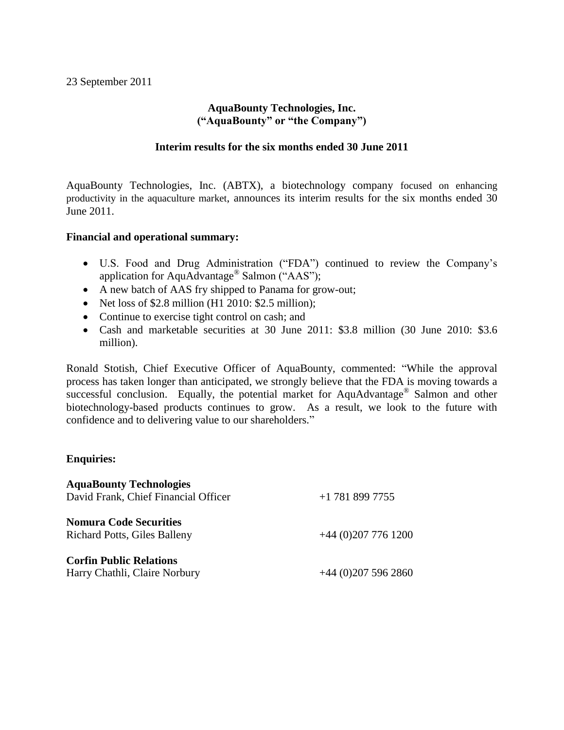## **AquaBounty Technologies, Inc. ("AquaBounty" or "the Company")**

## **Interim results for the six months ended 30 June 2011**

AquaBounty Technologies, Inc. (ABTX), a biotechnology company focused on enhancing productivity in the aquaculture market, announces its interim results for the six months ended 30 June 2011.

## **Financial and operational summary:**

- U.S. Food and Drug Administration ("FDA") continued to review the Company's application for AquAdvantage® Salmon ("AAS");
- A new batch of AAS fry shipped to Panama for grow-out;
- $\bullet$  Net loss of \$2.8 million (H1 2010: \$2.5 million);
- Continue to exercise tight control on cash; and
- Cash and marketable securities at 30 June 2011: \$3.8 million (30 June 2010: \$3.6 million).

Ronald Stotish, Chief Executive Officer of AquaBounty, commented: "While the approval process has taken longer than anticipated, we strongly believe that the FDA is moving towards a successful conclusion. Equally, the potential market for AquAdvantage® Salmon and other biotechnology-based products continues to grow. As a result, we look to the future with confidence and to delivering value to our shareholders."

## **Enquiries:**

| <b>AquaBounty Technologies</b>       |                    |
|--------------------------------------|--------------------|
| David Frank, Chief Financial Officer | $+1$ 781 899 7755  |
| <b>Nomura Code Securities</b>        |                    |
| <b>Richard Potts, Giles Balleny</b>  | $+44(0)2077761200$ |
| <b>Corfin Public Relations</b>       |                    |
| Harry Chathli, Claire Norbury        | $+44(0)2075962860$ |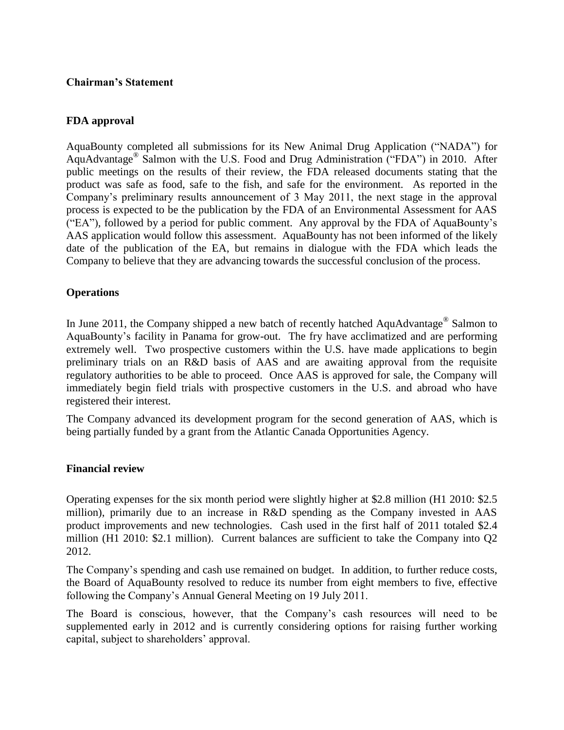## **Chairman's Statement**

## **FDA approval**

AquaBounty completed all submissions for its New Animal Drug Application ("NADA") for AquAdvantage® Salmon with the U.S. Food and Drug Administration ("FDA") in 2010. After public meetings on the results of their review, the FDA released documents stating that the product was safe as food, safe to the fish, and safe for the environment. As reported in the Company's preliminary results announcement of 3 May 2011, the next stage in the approval process is expected to be the publication by the FDA of an Environmental Assessment for AAS ("EA"), followed by a period for public comment. Any approval by the FDA of AquaBounty's AAS application would follow this assessment. AquaBounty has not been informed of the likely date of the publication of the EA, but remains in dialogue with the FDA which leads the Company to believe that they are advancing towards the successful conclusion of the process.

## **Operations**

In June 2011, the Company shipped a new batch of recently hatched AquAdvantage<sup>®</sup> Salmon to AquaBounty's facility in Panama for grow-out. The fry have acclimatized and are performing extremely well. Two prospective customers within the U.S. have made applications to begin preliminary trials on an R&D basis of AAS and are awaiting approval from the requisite regulatory authorities to be able to proceed. Once AAS is approved for sale, the Company will immediately begin field trials with prospective customers in the U.S. and abroad who have registered their interest.

The Company advanced its development program for the second generation of AAS, which is being partially funded by a grant from the Atlantic Canada Opportunities Agency.

#### **Financial review**

Operating expenses for the six month period were slightly higher at \$2.8 million (H1 2010: \$2.5 million), primarily due to an increase in R&D spending as the Company invested in AAS product improvements and new technologies. Cash used in the first half of 2011 totaled \$2.4 million (H1 2010: \$2.1 million). Current balances are sufficient to take the Company into Q2 2012.

The Company's spending and cash use remained on budget. In addition, to further reduce costs, the Board of AquaBounty resolved to reduce its number from eight members to five, effective following the Company's Annual General Meeting on 19 July 2011.

The Board is conscious, however, that the Company's cash resources will need to be supplemented early in 2012 and is currently considering options for raising further working capital, subject to shareholders' approval.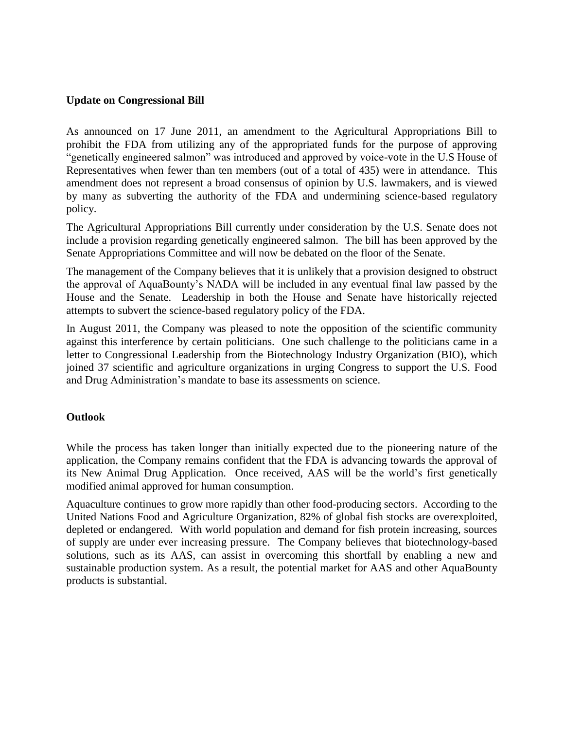## **Update on Congressional Bill**

As announced on 17 June 2011, an amendment to the Agricultural Appropriations Bill to prohibit the FDA from utilizing any of the appropriated funds for the purpose of approving "genetically engineered salmon" was introduced and approved by voice-vote in the U.S House of Representatives when fewer than ten members (out of a total of 435) were in attendance. This amendment does not represent a broad consensus of opinion by U.S. lawmakers, and is viewed by many as subverting the authority of the FDA and undermining science-based regulatory policy.

The Agricultural Appropriations Bill currently under consideration by the U.S. Senate does not include a provision regarding genetically engineered salmon. The bill has been approved by the Senate Appropriations Committee and will now be debated on the floor of the Senate.

The management of the Company believes that it is unlikely that a provision designed to obstruct the approval of AquaBounty's NADA will be included in any eventual final law passed by the House and the Senate. Leadership in both the House and Senate have historically rejected attempts to subvert the science-based regulatory policy of the FDA.

In August 2011, the Company was pleased to note the opposition of the scientific community against this interference by certain politicians. One such challenge to the politicians came in a letter to Congressional Leadership from the Biotechnology Industry Organization (BIO), which joined 37 scientific and agriculture organizations in urging Congress to support the U.S. Food and Drug Administration's mandate to base its assessments on science.

## **Outlook**

While the process has taken longer than initially expected due to the pioneering nature of the application, the Company remains confident that the FDA is advancing towards the approval of its New Animal Drug Application. Once received, AAS will be the world's first genetically modified animal approved for human consumption.

Aquaculture continues to grow more rapidly than other food-producing sectors. According to the United Nations Food and Agriculture Organization, 82% of global fish stocks are overexploited, depleted or endangered. With world population and demand for fish protein increasing, sources of supply are under ever increasing pressure. The Company believes that biotechnology-based solutions, such as its AAS, can assist in overcoming this shortfall by enabling a new and sustainable production system. As a result, the potential market for AAS and other AquaBounty products is substantial.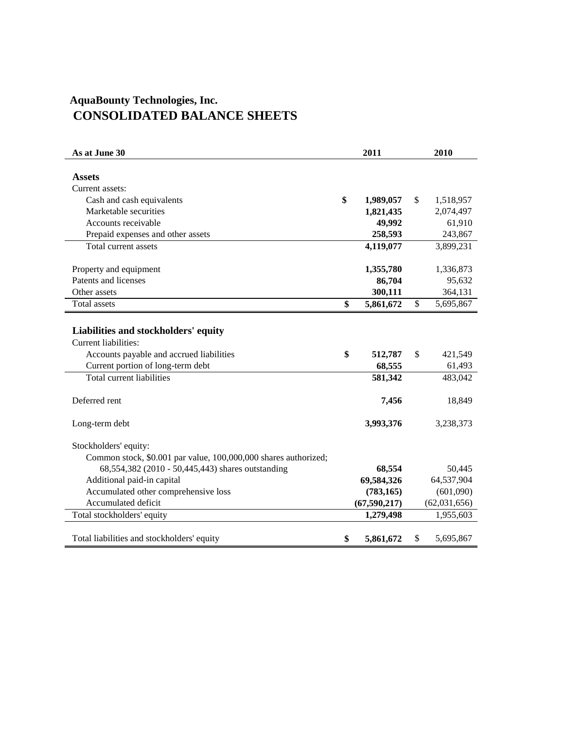# **AquaBounty Technologies, Inc. CONSOLIDATED BALANCE SHEETS**

| As at June 30                                                                                                                                 | 2011                    | 2010                    |
|-----------------------------------------------------------------------------------------------------------------------------------------------|-------------------------|-------------------------|
| <b>Assets</b>                                                                                                                                 |                         |                         |
| Current assets:                                                                                                                               |                         |                         |
| Cash and cash equivalents                                                                                                                     | \$<br>1,989,057         | \$<br>1,518,957         |
| Marketable securities                                                                                                                         | 1,821,435               | 2,074,497               |
| Accounts receivable                                                                                                                           | 49,992                  | 61,910                  |
| Prepaid expenses and other assets                                                                                                             | 258,593                 | 243,867                 |
| Total current assets                                                                                                                          | 4,119,077               | 3,899,231               |
| Property and equipment                                                                                                                        | 1,355,780               | 1,336,873               |
| Patents and licenses                                                                                                                          | 86,704                  | 95,632                  |
| Other assets                                                                                                                                  | 300,111                 | 364,131                 |
| <b>Total assets</b>                                                                                                                           | \$<br>5,861,672         | \$<br>5,695,867         |
|                                                                                                                                               |                         |                         |
| Liabilities and stockholders' equity<br>Current liabilities:<br>Accounts payable and accrued liabilities<br>Current portion of long-term debt | \$<br>512,787<br>68,555 | \$<br>421,549<br>61,493 |
| Total current liabilities                                                                                                                     | 581,342                 | 483,042                 |
| Deferred rent                                                                                                                                 | 7,456                   | 18,849                  |
| Long-term debt                                                                                                                                | 3,993,376               | 3,238,373               |
| Stockholders' equity:                                                                                                                         |                         |                         |
| Common stock, \$0.001 par value, 100,000,000 shares authorized;                                                                               |                         |                         |
| 68,554,382 (2010 - 50,445,443) shares outstanding                                                                                             | 68,554                  | 50,445                  |
| Additional paid-in capital                                                                                                                    | 69,584,326              | 64,537,904              |
| Accumulated other comprehensive loss                                                                                                          | (783, 165)              | (601,090)               |
| Accumulated deficit                                                                                                                           | (67, 590, 217)          | (62,031,656)            |
| Total stockholders' equity                                                                                                                    | 1,279,498               | 1,955,603               |
| Total liabilities and stockholders' equity                                                                                                    | \$<br>5,861,672         | \$<br>5,695,867         |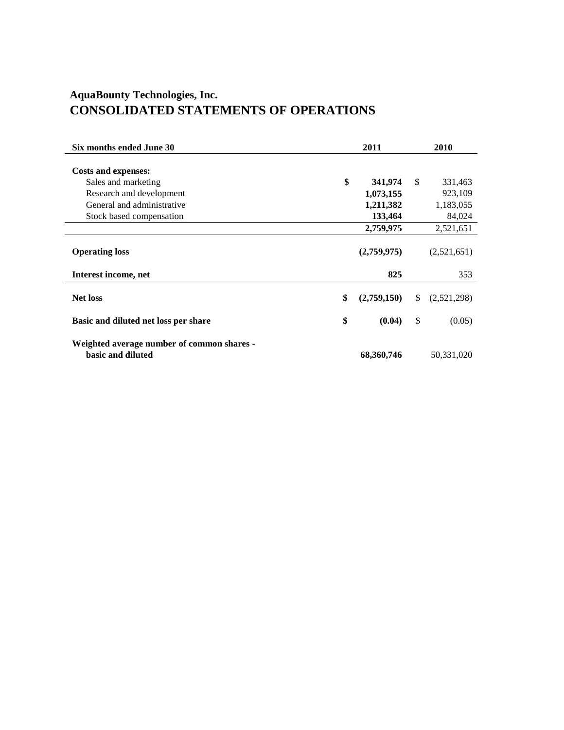## **AquaBounty Technologies, Inc. CONSOLIDATED STATEMENTS OF OPERATIONS**

| Six months ended June 30                                        | 2011              | 2010              |
|-----------------------------------------------------------------|-------------------|-------------------|
| <b>Costs and expenses:</b>                                      |                   |                   |
| Sales and marketing                                             | \$<br>341,974     | \$<br>331,463     |
| Research and development                                        | 1,073,155         | 923,109           |
| General and administrative                                      | 1,211,382         | 1,183,055         |
| Stock based compensation                                        | 133,464           | 84,024            |
|                                                                 | 2,759,975         | 2,521,651         |
| <b>Operating loss</b>                                           | (2,759,975)       | (2,521,651)       |
| Interest income, net                                            | 825               | 353               |
| <b>Net loss</b>                                                 | \$<br>(2,759,150) | \$<br>(2,521,298) |
| Basic and diluted net loss per share                            | \$<br>(0.04)      | \$<br>(0.05)      |
| Weighted average number of common shares -<br>basic and diluted | 68,360,746        | 50,331,020        |